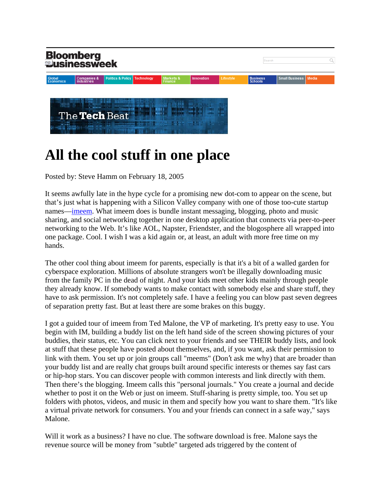

## **All the cool stuff in one place**

Posted by: Steve Hamm on February 18, 2005

It seems awfully late in the hype cycle for a promising new dot-com to appear on the scene, but that's just what is happening with a Silicon Valley company with one of those too-cute startup names—imeem. What imeem does is bundle instant messaging, blogging, photo and music sharing, and social networking together in one desktop application that connects via peer-to-peer networking to the Web. It's like AOL, Napster, Friendster, and the blogosphere all wrapped into one package. Cool. I wish I was a kid again or, at least, an adult with more free time on my hands.

The other cool thing about imeem for parents, especially is that it's a bit of a walled garden for cyberspace exploration. Millions of absolute strangers won't be illegally downloading music from the family PC in the dead of night. And your kids meet other kids mainly through people they already know. If somebody wants to make contact with somebody else and share stuff, they have to ask permission. It's not completely safe. I have a feeling you can blow past seven degrees of separation pretty fast. But at least there are some brakes on this buggy.

I got a guided tour of imeem from Ted Malone, the VP of marketing. It's pretty easy to use. You begin with IM, building a buddy list on the left hand side of the screen showing pictures of your buddies, their status, etc. You can click next to your friends and see THEIR buddy lists, and look at stuff that these people have posted about themselves, and, if you want, ask their permission to link with them. You set up or join groups call "meems" (Don't ask me why) that are broader than your buddy list and are really chat groups built around specific interests or themes say fast cars or hip-hop stars. You can discover people with common interests and link directly with them. Then there's the blogging. Imeem calls this "personal journals." You create a journal and decide whether to post it on the Web or just on imeem. Stuff-sharing is pretty simple, too. You set up folders with photos, videos, and music in them and specify how you want to share them. "It's like a virtual private network for consumers. You and your friends can connect in a safe way," says Malone.

Will it work as a business? I have no clue. The software download is free. Malone says the revenue source will be money from "subtle" targeted ads triggered by the content of